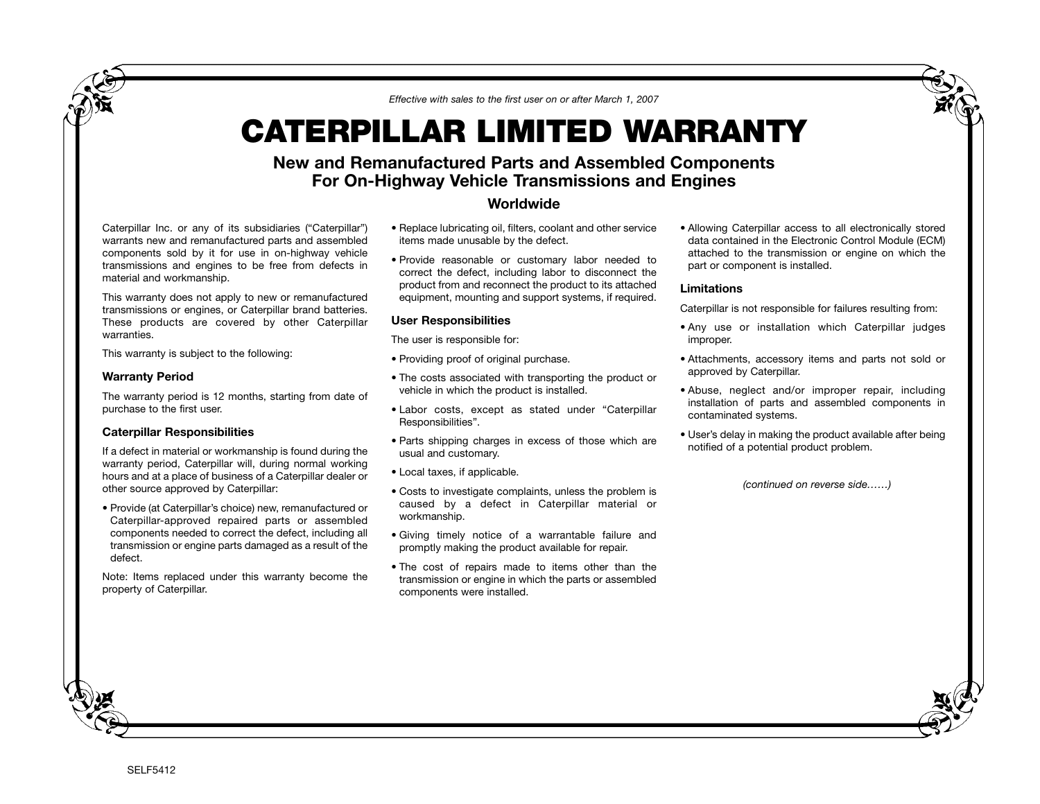*Effective with sales to the first user on or after March 1, 2007*

# **CATERPILLAR LIMITED WARRANTY**

## **New and Remanufactured Parts and Assembled Components For On-Highway Vehicle Transmissions and Engines**

### **Worldwide**

Caterpillar Inc. or any of its subsidiaries ("Caterpillar") warrants new and remanufactured parts and assembled components sold by it for use in on-highway vehicle transmissions and engines to be free from defects in material and workmanship.

This warranty does not apply to new or remanufactured transmissions or engines, or Caterpillar brand batteries. These products are covered by other Caterpillar warranties.

This warranty is subject to the following:

#### **Warranty Period**

The warranty period is 12 months, starting from date of purchase to the first user.

#### **Caterpillar Responsibilities**

If a defect in material or workmanship is found during the warranty period, Caterpillar will, during normal working hours and at a place of business of a Caterpillar dealer or other source approved by Caterpillar:

• Provide (at Caterpillar's choice) new, remanufactured or Caterpillar-approved repaired parts or assembled components needed to correct the defect, including all transmission or engine parts damaged as a result of the defect.

Note: Items replaced under this warranty become the property of Caterpillar.

- Replace lubricating oil, filters, coolant and other service items made unusable by the defect.
- Provide reasonable or customary labor needed to correct the defect, including labor to disconnect the product from and reconnect the product to its attached equipment, mounting and support systems, if required.

#### **User Responsibilities**

The user is responsible for:

- Providing proof of original purchase.
- The costs associated with transporting the product or vehicle in which the product is installed.
- Labor costs, except as stated under "Caterpillar Responsibilities".
- Parts shipping charges in excess of those which are usual and customary.
- Local taxes, if applicable.
- Costs to investigate complaints, unless the problem is caused by a defect in Caterpillar material or workmanship.
- Giving timely notice of a warrantable failure and promptly making the product available for repair.
- The cost of repairs made to items other than the transmission or engine in which the parts or assembled components were installed.

• Allowing Caterpillar access to all electronically stored data contained in the Electronic Control Module (ECM) attached to the transmission or engine on which the part or component is installed.

#### **Limitations**

Caterpillar is not responsible for failures resulting from:

- Any use or installation which Caterpillar judges improper.
- Attachments, accessory items and parts not sold or approved by Caterpillar.
- Abuse, neglect and/or improper repair, including installation of parts and assembled components in contaminated systems.
- User's delay in making the product available after being notified of a potential product problem.

*(continued on reverse side……)*